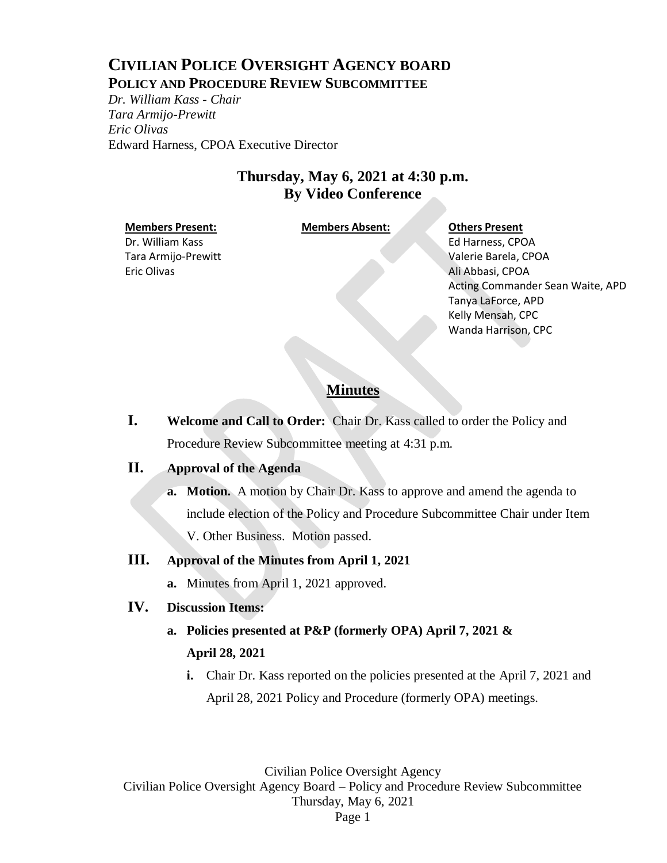# **CIVILIAN POLICE OVERSIGHT AGENCY BOARD POLICY AND PROCEDURE REVIEW SUBCOMMITTEE**

*Dr. William Kass - Chair Tara Armijo-Prewitt Eric Olivas* Edward Harness, CPOA Executive Director

# **Thursday, May 6, 2021 at 4:30 p.m. By Video Conference**

### **Members Present: Members Absent: Others Present**

Dr. William Kass Tara Armijo-Prewitt Eric Olivas

Ed Harness, CPOA Valerie Barela, CPOA Ali Abbasi, CPOA Acting Commander Sean Waite, APD Tanya LaForce, APD Kelly Mensah, CPC Wanda Harrison, CPC

# **Minutes**

**I. Welcome and Call to Order:** Chair Dr. Kass called to order the Policy and Procedure Review Subcommittee meeting at 4:31 p.m.

# **II. Approval of the Agenda**

**a. Motion.** A motion by Chair Dr. Kass to approve and amend the agenda to include election of the Policy and Procedure Subcommittee Chair under Item V. Other Business. Motion passed.

# **III. Approval of the Minutes from April 1, 2021**

**a.** Minutes from April 1, 2021 approved.

# **IV. Discussion Items:**

- **a. Policies presented at P&P (formerly OPA) April 7, 2021 & April 28, 2021**
	- **i.** Chair Dr. Kass reported on the policies presented at the April 7, 2021 and April 28, 2021 Policy and Procedure (formerly OPA) meetings.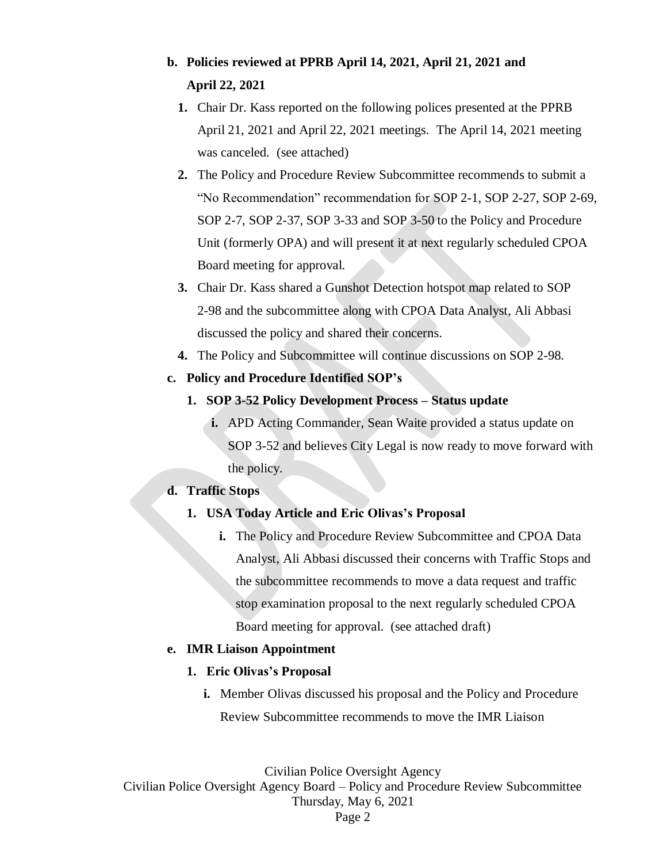# **b. Policies reviewed at PPRB April 14, 2021, April 21, 2021 and April 22, 2021**

- **1.** Chair Dr. Kass reported on the following polices presented at the PPRB April 21, 2021 and April 22, 2021 meetings. The April 14, 2021 meeting was canceled. (see attached)
- **2.** The Policy and Procedure Review Subcommittee recommends to submit a "No Recommendation" recommendation for SOP 2-1, SOP 2-27, SOP 2-69, SOP 2-7, SOP 2-37, SOP 3-33 and SOP 3-50 to the Policy and Procedure Unit (formerly OPA) and will present it at next regularly scheduled CPOA Board meeting for approval.
- **3.** Chair Dr. Kass shared a Gunshot Detection hotspot map related to SOP 2-98 and the subcommittee along with CPOA Data Analyst, Ali Abbasi discussed the policy and shared their concerns.
- **4.** The Policy and Subcommittee will continue discussions on SOP 2-98.

### **c. Policy and Procedure Identified SOP's**

- **1. SOP 3-52 Policy Development Process – Status update**
	- **i.** APD Acting Commander, Sean Waite provided a status update on SOP 3-52 and believes City Legal is now ready to move forward with the policy.

### **d. Traffic Stops**

### **1. USA Today Article and Eric Olivas's Proposal**

**i.** The Policy and Procedure Review Subcommittee and CPOA Data Analyst, Ali Abbasi discussed their concerns with Traffic Stops and the subcommittee recommends to move a data request and traffic stop examination proposal to the next regularly scheduled CPOA Board meeting for approval. (see attached draft)

### **e. IMR Liaison Appointment**

### **1. Eric Olivas's Proposal**

**i.** Member Olivas discussed his proposal and the Policy and Procedure Review Subcommittee recommends to move the IMR Liaison

Civilian Police Oversight Agency

Civilian Police Oversight Agency Board – Policy and Procedure Review Subcommittee Thursday, May 6, 2021

Page 2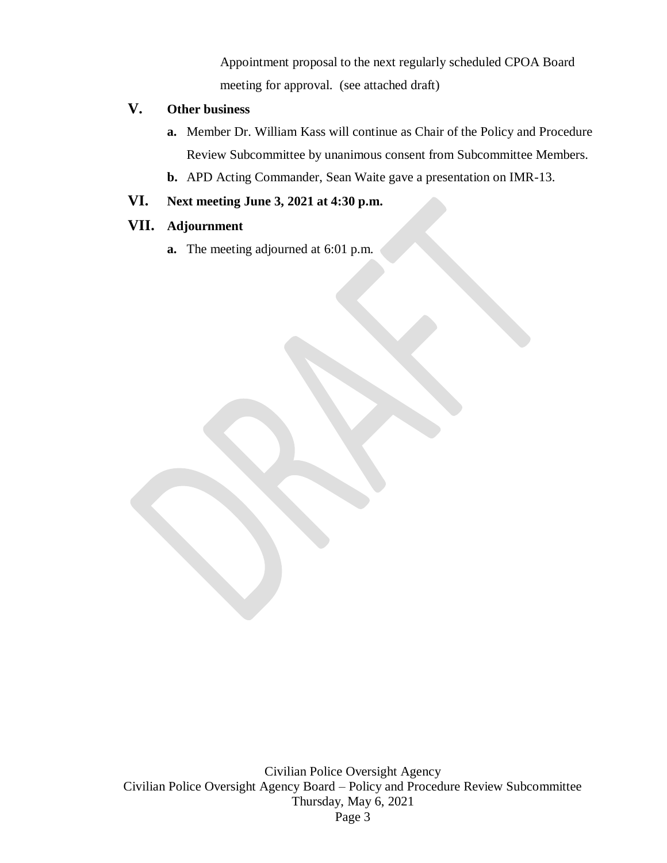Appointment proposal to the next regularly scheduled CPOA Board meeting for approval. (see attached draft)

# **V. Other business**

- **a.** Member Dr. William Kass will continue as Chair of the Policy and Procedure Review Subcommittee by unanimous consent from Subcommittee Members.
- **b.** APD Acting Commander, Sean Waite gave a presentation on IMR-13.

# **VI. Next meeting June 3, 2021 at 4:30 p.m.**

# **VII. Adjournment**

**a.** The meeting adjourned at 6:01 p.m.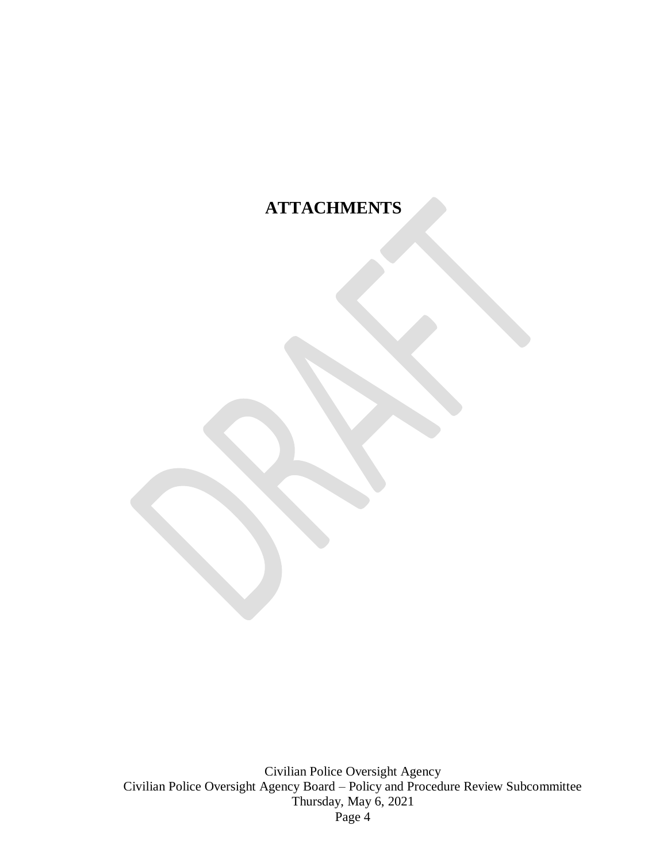# **ATTACHMENTS**

Civilian Police Oversight Agency Civilian Police Oversight Agency Board – Policy and Procedure Review Subcommittee Thursday, May 6, 2021 Page 4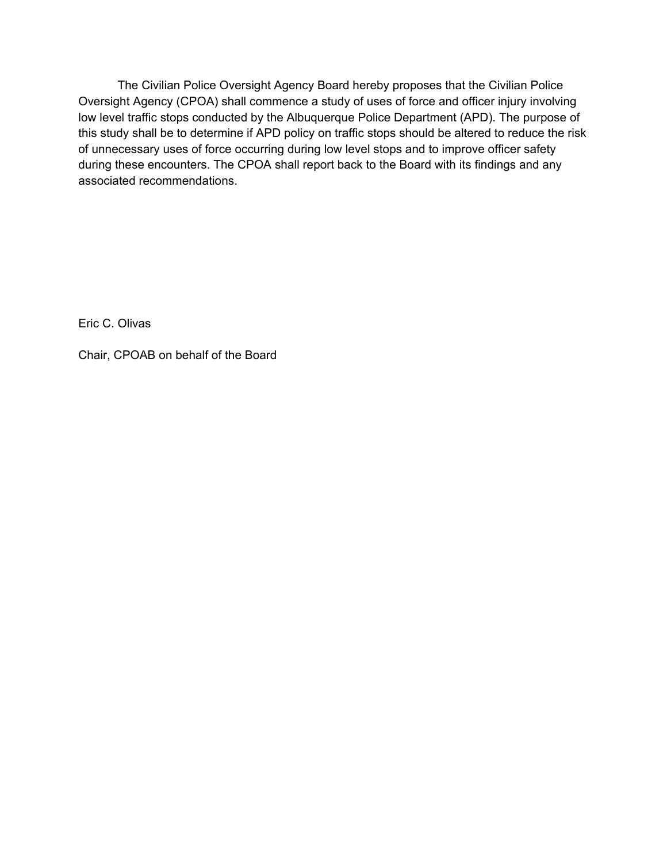The Civilian Police Oversight Agency Board hereby proposes that the Civilian Police Oversight Agency (CPOA) shall commence a study of uses of force and officer injury involving low level traffic stops conducted by the Albuquerque Police Department (APD). The purpose of this study shall be to determine if APD policy on traffic stops should be altered to reduce the risk of unnecessary uses of force occurring during low level stops and to improve officer safety during these encounters. The CPOA shall report back to the Board with its findings and any associated recommendations.

Eric C. Olivas

Chair, CPOAB on behalf of the Board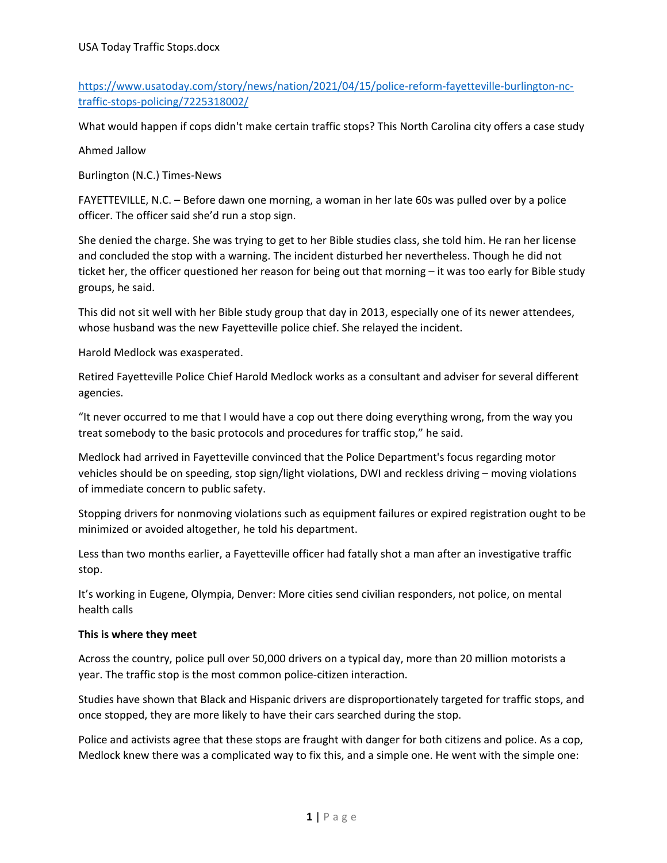https://www.usatoday.com/story/news/nation/2021/04/15/police-reform-fayetteville-burlington-nctraffic‐stops‐policing/7225318002/

What would happen if cops didn't make certain traffic stops? This North Carolina city offers a case study

Ahmed Jallow

Burlington (N.C.) Times‐News

FAYETTEVILLE, N.C. – Before dawn one morning, a woman in her late 60s was pulled over by a police officer. The officer said she'd run a stop sign.

She denied the charge. She was trying to get to her Bible studies class, she told him. He ran her license and concluded the stop with a warning. The incident disturbed her nevertheless. Though he did not ticket her, the officer questioned her reason for being out that morning – it was too early for Bible study groups, he said.

This did not sit well with her Bible study group that day in 2013, especially one of its newer attendees, whose husband was the new Fayetteville police chief. She relayed the incident.

Harold Medlock was exasperated.

Retired Fayetteville Police Chief Harold Medlock works as a consultant and adviser for several different agencies.

"It never occurred to me that I would have a cop out there doing everything wrong, from the way you treat somebody to the basic protocols and procedures for traffic stop," he said.

Medlock had arrived in Fayetteville convinced that the Police Department's focus regarding motor vehicles should be on speeding, stop sign/light violations, DWI and reckless driving – moving violations of immediate concern to public safety.

Stopping drivers for nonmoving violations such as equipment failures or expired registration ought to be minimized or avoided altogether, he told his department.

Less than two months earlier, a Fayetteville officer had fatally shot a man after an investigative traffic stop.

It's working in Eugene, Olympia, Denver: More cities send civilian responders, not police, on mental health calls

### **This is where they meet**

Across the country, police pull over 50,000 drivers on a typical day, more than 20 million motorists a year. The traffic stop is the most common police-citizen interaction.

Studies have shown that Black and Hispanic drivers are disproportionately targeted for traffic stops, and once stopped, they are more likely to have their cars searched during the stop.

Police and activists agree that these stops are fraught with danger for both citizens and police. As a cop, Medlock knew there was a complicated way to fix this, and a simple one. He went with the simple one: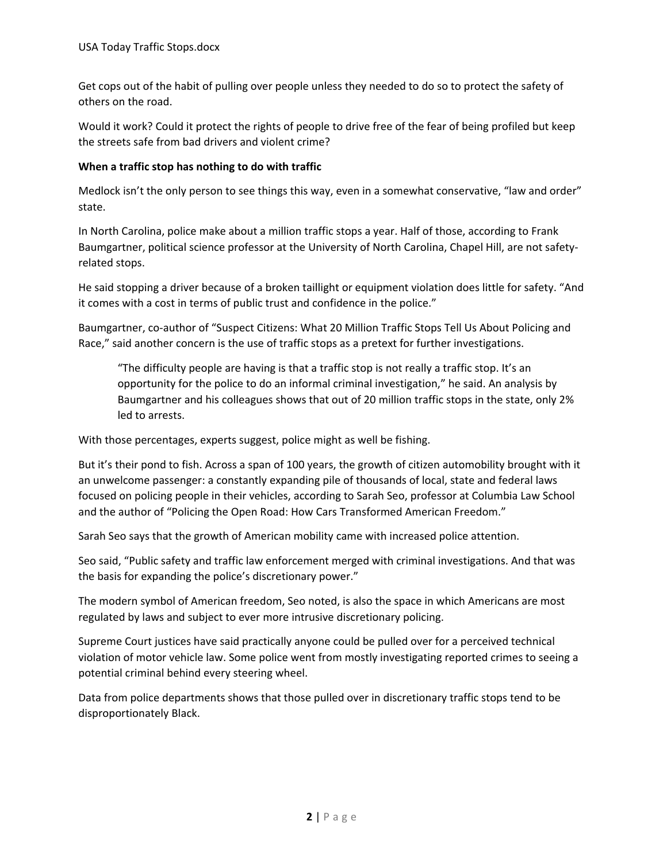Get cops out of the habit of pulling over people unless they needed to do so to protect the safety of others on the road.

Would it work? Could it protect the rights of people to drive free of the fear of being profiled but keep the streets safe from bad drivers and violent crime?

### **When a traffic stop has nothing to do with traffic**

Medlock isn't the only person to see things this way, even in a somewhat conservative, "law and order" state.

In North Carolina, police make about a million traffic stops a year. Half of those, according to Frank Baumgartner, political science professor at the University of North Carolina, Chapel Hill, are not safety‐ related stops.

He said stopping a driver because of a broken taillight or equipment violation does little for safety. "And it comes with a cost in terms of public trust and confidence in the police."

Baumgartner, co‐author of "Suspect Citizens: What 20 Million Traffic Stops Tell Us About Policing and Race," said another concern is the use of traffic stops as a pretext for further investigations.

"The difficulty people are having is that a traffic stop is not really a traffic stop. It's an opportunity for the police to do an informal criminal investigation," he said. An analysis by Baumgartner and his colleagues shows that out of 20 million traffic stops in the state, only 2% led to arrests.

With those percentages, experts suggest, police might as well be fishing.

But it's their pond to fish. Across a span of 100 years, the growth of citizen automobility brought with it an unwelcome passenger: a constantly expanding pile of thousands of local, state and federal laws focused on policing people in their vehicles, according to Sarah Seo, professor at Columbia Law School and the author of "Policing the Open Road: How Cars Transformed American Freedom."

Sarah Seo says that the growth of American mobility came with increased police attention.

Seo said, "Public safety and traffic law enforcement merged with criminal investigations. And that was the basis for expanding the police's discretionary power."

The modern symbol of American freedom, Seo noted, is also the space in which Americans are most regulated by laws and subject to ever more intrusive discretionary policing.

Supreme Court justices have said practically anyone could be pulled over for a perceived technical violation of motor vehicle law. Some police went from mostly investigating reported crimes to seeing a potential criminal behind every steering wheel.

Data from police departments shows that those pulled over in discretionary traffic stops tend to be disproportionately Black.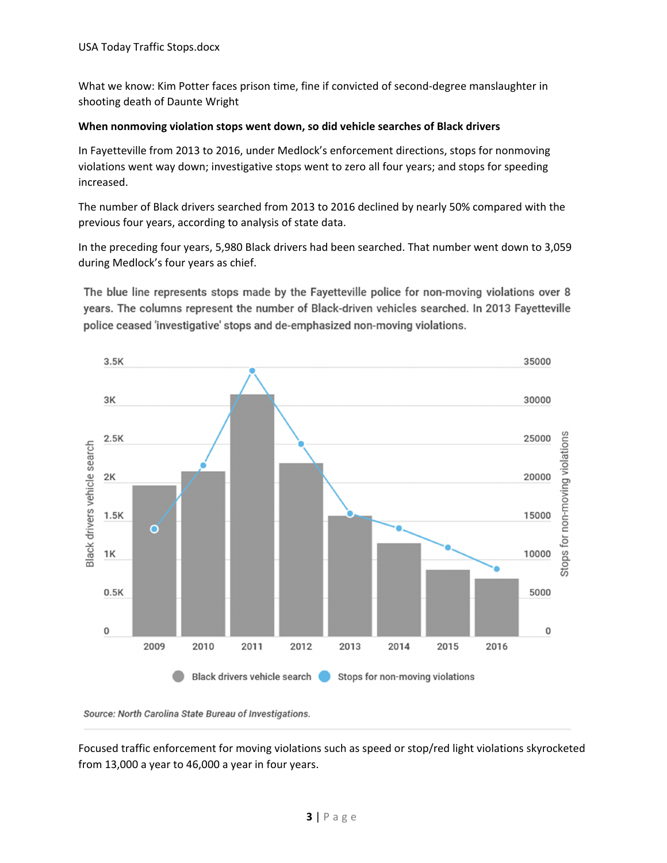What we know: Kim Potter faces prison time, fine if convicted of second-degree manslaughter in shooting death of Daunte Wright

### **When nonmoving violation stops went down, so did vehicle searches of Black drivers**

In Fayetteville from 2013 to 2016, under Medlock's enforcement directions, stops for nonmoving violations went way down; investigative stops went to zero all four years; and stops for speeding increased.

The number of Black drivers searched from 2013 to 2016 declined by nearly 50% compared with the previous four years, according to analysis of state data.

In the preceding four years, 5,980 Black drivers had been searched. That number went down to 3,059 during Medlock's four years as chief.

The blue line represents stops made by the Fayetteville police for non-moving violations over 8 years. The columns represent the number of Black-driven vehicles searched. In 2013 Fayetteville police ceased 'investigative' stops and de-emphasized non-moving violations.



Source: North Carolina State Bureau of Investigations.

Focused traffic enforcement for moving violations such as speed or stop/red light violations skyrocketed from 13,000 a year to 46,000 a year in four years.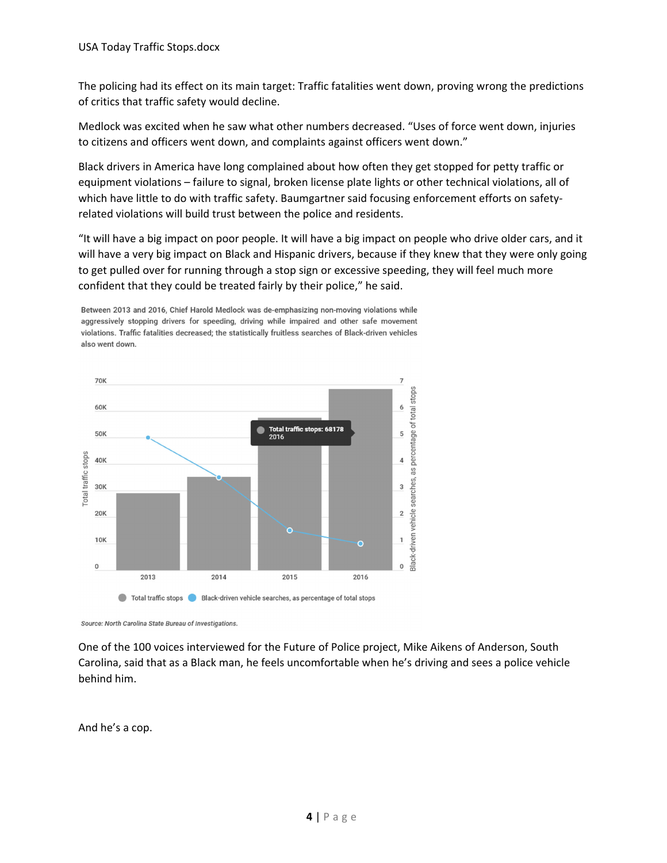The policing had its effect on its main target: Traffic fatalities went down, proving wrong the predictions of critics that traffic safety would decline.

Medlock was excited when he saw what other numbers decreased. "Uses of force went down, injuries to citizens and officers went down, and complaints against officers went down."

Black drivers in America have long complained about how often they get stopped for petty traffic or equipment violations – failure to signal, broken license plate lights or other technical violations, all of which have little to do with traffic safety. Baumgartner said focusing enforcement efforts on safetyrelated violations will build trust between the police and residents.

"It will have a big impact on poor people. It will have a big impact on people who drive older cars, and it will have a very big impact on Black and Hispanic drivers, because if they knew that they were only going to get pulled over for running through a stop sign or excessive speeding, they will feel much more confident that they could be treated fairly by their police," he said.

Between 2013 and 2016, Chief Harold Medlock was de-emphasizing non-moving violations while aggressively stopping drivers for speeding, driving while impaired and other safe movement violations. Traffic fatalities decreased; the statistically fruitless searches of Black-driven vehicles also went down.



Source: North Carolina State Bureau of Investigations.

One of the 100 voices interviewed for the Future of Police project, Mike Aikens of Anderson, South Carolina, said that as a Black man, he feels uncomfortable when he's driving and sees a police vehicle behind him.

And he's a cop.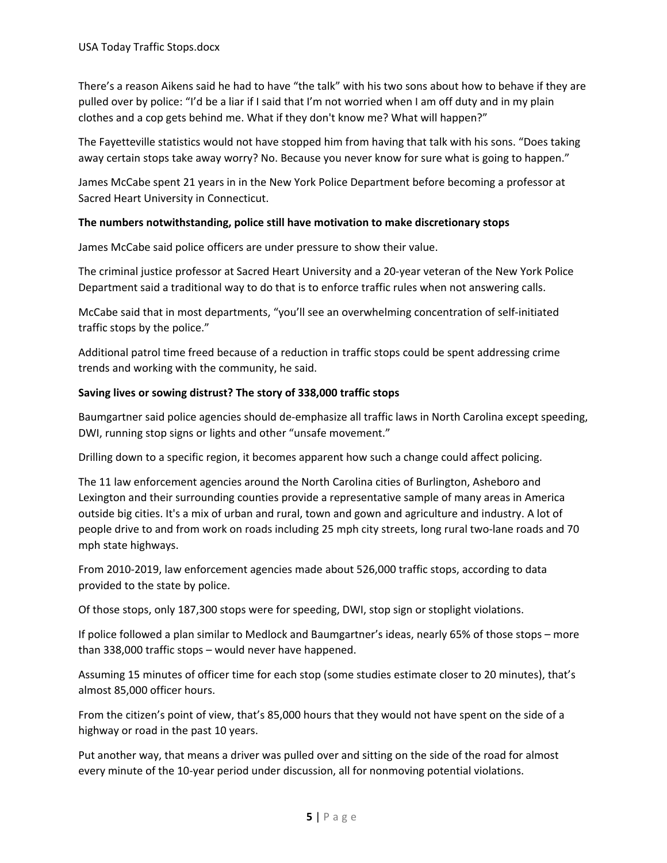There's a reason Aikens said he had to have "the talk" with his two sons about how to behave if they are pulled over by police: "I'd be a liar if I said that I'm not worried when I am off duty and in my plain clothes and a cop gets behind me. What if they don't know me? What will happen?"

The Fayetteville statistics would not have stopped him from having that talk with his sons. "Does taking away certain stops take away worry? No. Because you never know for sure what is going to happen."

James McCabe spent 21 years in in the New York Police Department before becoming a professor at Sacred Heart University in Connecticut.

### **The numbers notwithstanding, police still have motivation to make discretionary stops**

James McCabe said police officers are under pressure to show their value.

The criminal justice professor at Sacred Heart University and a 20‐year veteran of the New York Police Department said a traditional way to do that is to enforce traffic rules when not answering calls.

McCabe said that in most departments, "you'll see an overwhelming concentration of self-initiated traffic stops by the police."

Additional patrol time freed because of a reduction in traffic stops could be spent addressing crime trends and working with the community, he said.

### **Saving lives or sowing distrust? The story of 338,000 traffic stops**

Baumgartner said police agencies should de‐emphasize all traffic laws in North Carolina except speeding, DWI, running stop signs or lights and other "unsafe movement."

Drilling down to a specific region, it becomes apparent how such a change could affect policing.

The 11 law enforcement agencies around the North Carolina cities of Burlington, Asheboro and Lexington and their surrounding counties provide a representative sample of many areas in America outside big cities. It's a mix of urban and rural, town and gown and agriculture and industry. A lot of people drive to and from work on roads including 25 mph city streets, long rural two‐lane roads and 70 mph state highways.

From 2010‐2019, law enforcement agencies made about 526,000 traffic stops, according to data provided to the state by police.

Of those stops, only 187,300 stops were for speeding, DWI, stop sign or stoplight violations.

If police followed a plan similar to Medlock and Baumgartner's ideas, nearly 65% of those stops – more than 338,000 traffic stops – would never have happened.

Assuming 15 minutes of officer time for each stop (some studies estimate closer to 20 minutes), that's almost 85,000 officer hours.

From the citizen's point of view, that's 85,000 hours that they would not have spent on the side of a highway or road in the past 10 years.

Put another way, that means a driver was pulled over and sitting on the side of the road for almost every minute of the 10-year period under discussion, all for nonmoving potential violations.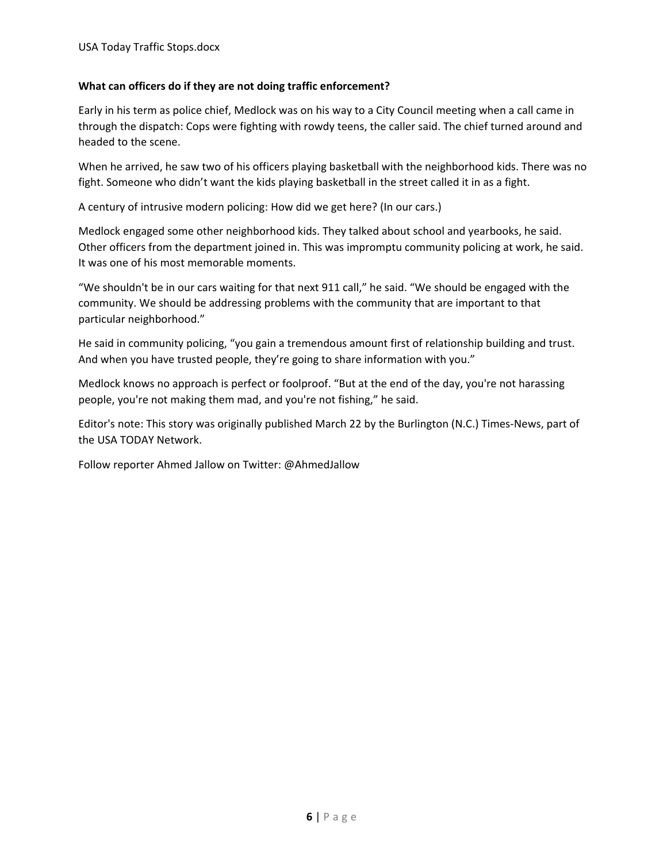### **What can officers do if they are not doing traffic enforcement?**

Early in his term as police chief, Medlock was on his way to a City Council meeting when a call came in through the dispatch: Cops were fighting with rowdy teens, the caller said. The chief turned around and headed to the scene.

When he arrived, he saw two of his officers playing basketball with the neighborhood kids. There was no fight. Someone who didn't want the kids playing basketball in the street called it in as a fight.

A century of intrusive modern policing: How did we get here? (In our cars.)

Medlock engaged some other neighborhood kids. They talked about school and yearbooks, he said. Other officers from the department joined in. This was impromptu community policing at work, he said. It was one of his most memorable moments.

"We shouldn't be in our cars waiting for that next 911 call," he said. "We should be engaged with the community. We should be addressing problems with the community that are important to that particular neighborhood."

He said in community policing, "you gain a tremendous amount first of relationship building and trust. And when you have trusted people, they're going to share information with you."

Medlock knows no approach is perfect or foolproof. "But at the end of the day, you're not harassing people, you're not making them mad, and you're not fishing," he said.

Editor's note: This story was originally published March 22 by the Burlington (N.C.) Times‐News, part of the USA TODAY Network.

Follow reporter Ahmed Jallow on Twitter: @AhmedJallow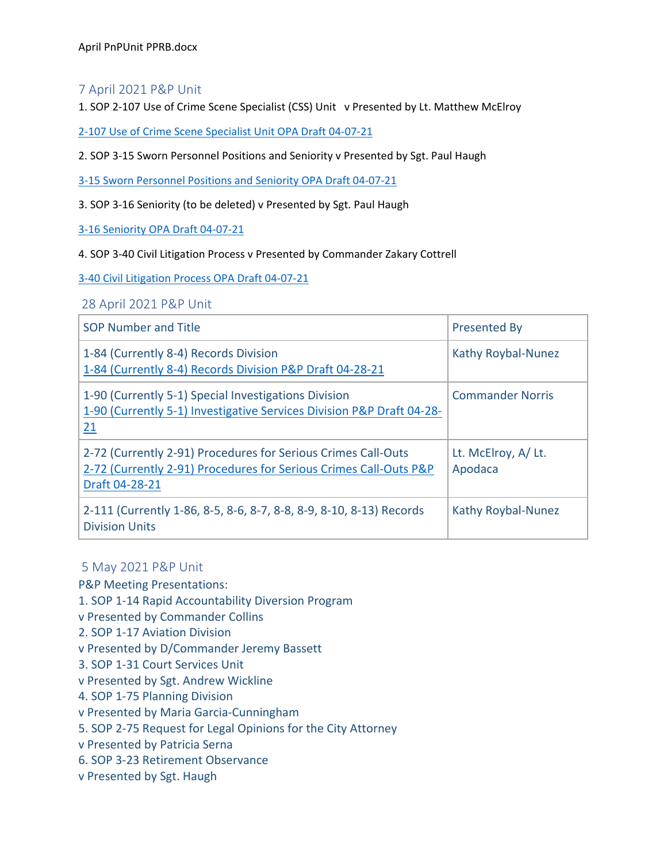### 7 April 2021 P&P Unit

1. SOP 2-107 Use of Crime Scene Specialist (CSS) Unit v Presented by Lt. Matthew McElroy

2-107 Use of Crime Scene Specialist Unit OPA Draft 04-07-21

2. SOP 3‐15 Sworn Personnel Positions and Seniority v Presented by Sgt. Paul Haugh

3‐15 Sworn Personnel Positions and Seniority OPA Draft 04‐07‐21

3. SOP 3‐16 Seniority (to be deleted) v Presented by Sgt. Paul Haugh

3‐16 Seniority OPA Draft 04‐07‐21

4. SOP 3‐40 Civil Litigation Process v Presented by Commander Zakary Cottrell

3‐40 Civil Litigation Process OPA Draft 04‐07‐21

28 April 2021 P&P Unit

| <b>SOP Number and Title</b>                                                                                                                          | <b>Presented By</b>           |
|------------------------------------------------------------------------------------------------------------------------------------------------------|-------------------------------|
| 1-84 (Currently 8-4) Records Division<br>1-84 (Currently 8-4) Records Division P&P Draft 04-28-21                                                    | Kathy Roybal-Nunez            |
| 1-90 (Currently 5-1) Special Investigations Division<br>1-90 (Currently 5-1) Investigative Services Division P&P Draft 04-28-<br>21                  | <b>Commander Norris</b>       |
| 2-72 (Currently 2-91) Procedures for Serious Crimes Call-Outs<br>2-72 (Currently 2-91) Procedures for Serious Crimes Call-Outs P&P<br>Draft 04-28-21 | Lt. McElroy, A/Lt.<br>Apodaca |
| 2-111 (Currently 1-86, 8-5, 8-6, 8-7, 8-8, 8-9, 8-10, 8-13) Records<br><b>Division Units</b>                                                         | Kathy Roybal-Nunez            |

### 5 May 2021 P&P Unit

P&P Meeting Presentations:

1. SOP 1‐14 Rapid Accountability Diversion Program

v Presented by Commander Collins

2. SOP 1‐17 Aviation Division

v Presented by D/Commander Jeremy Bassett

3. SOP 1‐31 Court Services Unit

v Presented by Sgt. Andrew Wickline

4. SOP 1‐75 Planning Division

v Presented by Maria Garcia‐Cunningham

5. SOP 2‐75 Request for Legal Opinions for the City Attorney

v Presented by Patricia Serna

6. SOP 3‐23 Retirement Observance

v Presented by Sgt. Haugh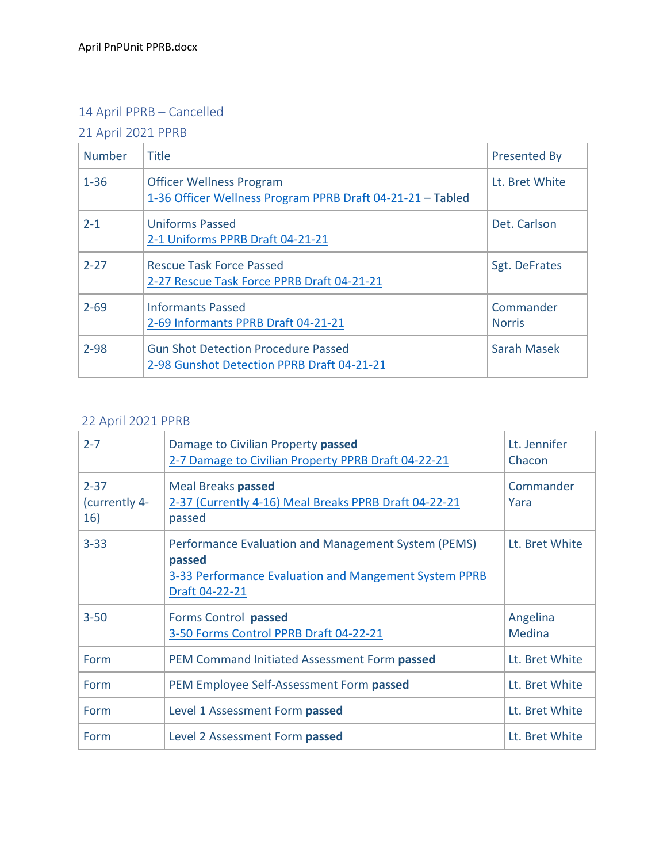# 14 April PPRB – Cancelled

# 21 April 2021 PPRB

| <b>Number</b> | <b>Title</b>                                                                                  | <b>Presented By</b>        |
|---------------|-----------------------------------------------------------------------------------------------|----------------------------|
| $1 - 36$      | <b>Officer Wellness Program</b><br>1-36 Officer Wellness Program PPRB Draft 04-21-21 - Tabled | Lt. Bret White             |
| $2 - 1$       | <b>Uniforms Passed</b><br>2-1 Uniforms PPRB Draft 04-21-21                                    | Det. Carlson               |
| $2 - 27$      | <b>Rescue Task Force Passed</b><br>2-27 Rescue Task Force PPRB Draft 04-21-21                 | Sgt. DeFrates              |
| $2 - 69$      | <b>Informants Passed</b><br>2-69 Informants PPRB Draft 04-21-21                               | Commander<br><b>Norris</b> |
| $2 - 98$      | <b>Gun Shot Detection Procedure Passed</b><br>2-98 Gunshot Detection PPRB Draft 04-21-21      | <b>Sarah Masek</b>         |

# 22 April 2021 PPRB

| $2 - 7$                          | Damage to Civilian Property passed<br>2-7 Damage to Civilian Property PPRB Draft 04-22-21                                                | Lt. Jennifer<br>Chacon    |
|----------------------------------|------------------------------------------------------------------------------------------------------------------------------------------|---------------------------|
| $2 - 37$<br>(currently 4-<br>16) | <b>Meal Breaks passed</b><br>2-37 (Currently 4-16) Meal Breaks PPRB Draft 04-22-21<br>passed                                             | Commander<br>Yara         |
| $3 - 33$                         | Performance Evaluation and Management System (PEMS)<br>passed<br>3-33 Performance Evaluation and Mangement System PPRB<br>Draft 04-22-21 | Lt. Bret White            |
| $3 - 50$                         | Forms Control passed<br>3-50 Forms Control PPRB Draft 04-22-21                                                                           | Angelina<br><b>Medina</b> |
| Form                             | PEM Command Initiated Assessment Form passed                                                                                             | Lt. Bret White            |
| Form                             | PEM Employee Self-Assessment Form passed                                                                                                 | Lt. Bret White            |
| Form                             | Level 1 Assessment Form passed                                                                                                           | Lt. Bret White            |
| Form                             | Level 2 Assessment Form passed                                                                                                           | Lt. Bret White            |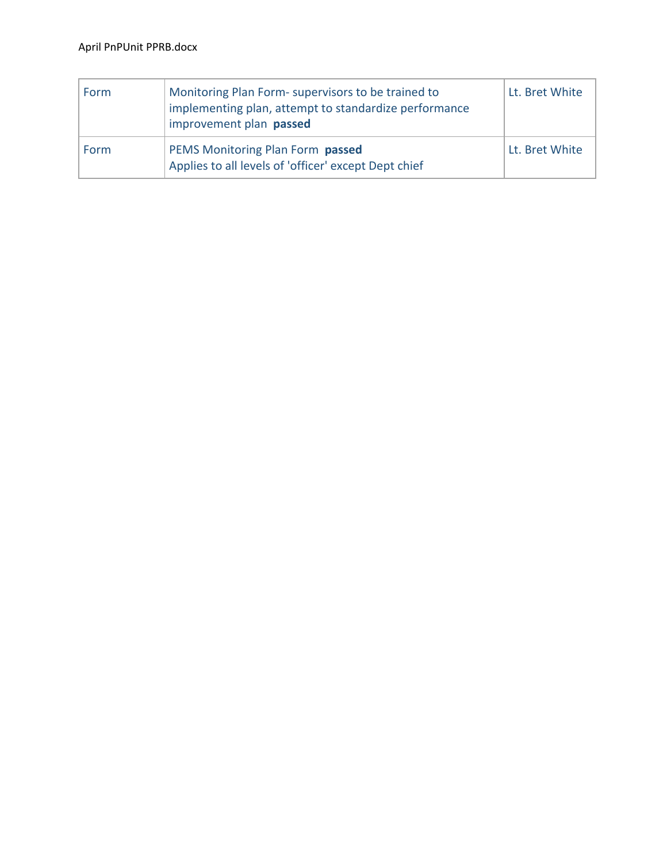| Form | Monitoring Plan Form- supervisors to be trained to<br>implementing plan, attempt to standardize performance<br>improvement plan passed | Lt. Bret White |
|------|----------------------------------------------------------------------------------------------------------------------------------------|----------------|
| Form | PEMS Monitoring Plan Form passed<br>Applies to all levels of 'officer' except Dept chief                                               | Lt. Bret White |